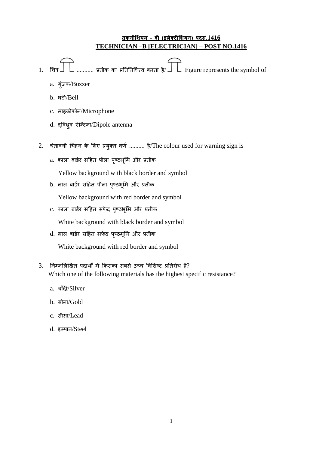## **तकनीशियन – बी (इलेक्ट्रीशियन) पदसं.1416 TECHNICIAN –B [ELECTRICIAN] – POST NO.1416**

- 1. चित्र  $\prod$  ........... प्रतीक का प्रतिनिधित्व करता है/ $\prod$  Figure represents the symbol of
	- a. ग्ंजक/Buzzer
	- b. घुंटी/Bell
	- c. माइक्रोफ़ोन/Microphone
	- d. द्विध्र्व ऐन्टिना/Dipole antenna
- 2. चेतावनी चिहन के लिए प्रयुक्त वर्ण .......... है/The colour used for warning sign is
	- a. काला बार्डर सहित पीला पृष्ठभूमि और प्रतीक

Yellow background with black border and symbol

b. लाल बार्डर सहित पीला पृष्ठभूमि और प्रतीक

Yellow background with red border and symbol

c. काला बार्डर सहित सफेद पृष्ठभूमि और प्रतीक

White background with black border and symbol

d. लाल बार्डर सहित सफेद पृष्ठभूमि और प्रतीक

White background with red border and symbol

- 3. निम्नलिखित पदार्थों में किसका सबसे उच्च विशिष्ट प्रतिरोध है? Which one of the following materials has the highest specific resistance?
	- a. चाँदी/Silver
	- b. सोना/Gold
	- c. सीसा/Lead
	- d. इस्पात/Steel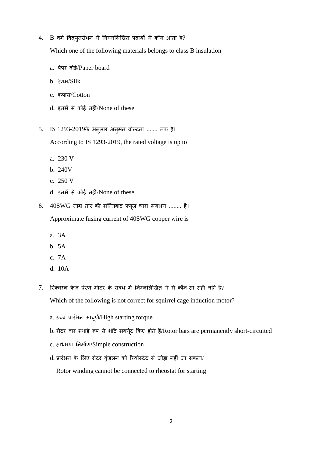$4.$  B वर्ग विद्यृतरोधन में निम्नलिखित पदार्थों में कौन आता है?

Which one of the following materials belongs to class B insulation

- a. पेपर बोर्ड/Paper board
- b. तेिम/Silk
- c. कपास/Cotton
- d. इनमें से कोई नहीं/None of these
- 5. IS 1293-2019के अनुसार अनुमत वोल्टता ....... तक है।

According to IS 1293-2019, the rated voltage is up to

- a. 230 V
- b. 240V
- c. 250 V
- d. इनमें से कोई नहीं/None of these
- 6. 40SWG ताम्र तार की सन्निकट फ्यूज धारा लगभग ........ है। Approximate fusing current of 40SWG copper wire is
	- a. 3A
	- b. 5A
	- c. 7A
	- d. 10A
- 7. स्क्विरल केज प्रेरण मोटर के संबंध में निम्नलिखित में से कौन-सा सही नहीं है?

Which of the following is not correct for squirrel cage induction motor?

- a. उच्च प्रारंभन आघूर्ण/High starting torque
- b. रोटर बार स्थाई रूप से शॉर्ट सक्यूट किए होते हैं/Rotor bars are permanently short-circuited
- c. साधारण निर्माण/Simple construction
- d. प्रारंभन के लिए रोटर कुंडलन को रियोस्टेट से जोड़ा नहीं जा सकता/

Rotor winding cannot be connected to rheostat for starting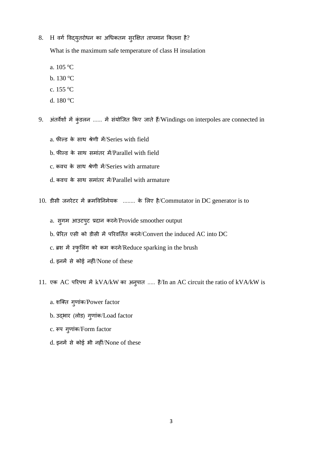## 8. H वर्ग विद्युतरोधन का अधिकतम स्*रक्षित तापमान कितना है*?

What is the maximum safe temperature of class H insulation

- a. 105 <sup>o</sup>C
- b.  $130^{\circ}$ C
- c. 155 <sup>o</sup>C
- d. 180 °C

9. अंतर्वशों में कुंडलन ...... में संयोजित किए जाते हैं/Windings on interpoles are connected in

- a. फील्ड के साथ श्रेणी में/Series with field
- b. फील्ड के साथ समांतर में/Parallel with field
- c. कवच के साथ श्रेणी में/Series with armature
- d. कवच के साथ समांतर में/Parallel with armature
- 10. डीसी जनरेटर में क्रमविनिमेयक ........ के लिए है/Commutator in DC generator is to
	- a. स्गम आउटपुट प्रदान करने/Provide smoother output
	- b. प्रेरित एसी को डीसी में परिवर्तित करने/Convert the induced AC into DC
	- c. ब्रश में स्फुलिंग को कम करने/Reduce sparking in the brush
	- d. इनमें से कोई नहीं/None of these
- 11. एक AC परिपथ में kVA/kW का अनुपात ..... है/In an AC circuit the ratio of kVA/kW is
	- a. शक्ति गुणांक/Power factor
	- b. उद्भार (लोड) गुणांक/Load factor
	- c. रूप गुणांक/Form factor
	- d. इनमें से कोई भी नहीं/None of these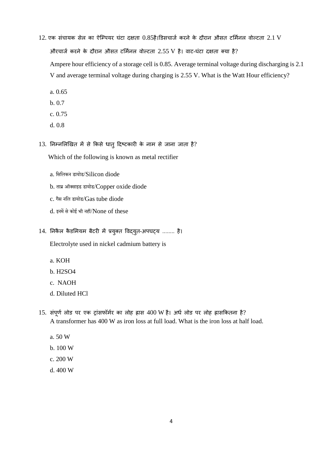- $12$ . एक संचायक सेल का ऐम्पियर घंटा दक्षता  $0.85$ है।डिसचार्ज करने के दौरान औसत टर्मिनल वोल्टता  $2.1$  V औरचार्ज करने के दौरान औसत टर्मिनल वोल्टता 2.55 V है। वाट-घंटा दक्षता क्या है? Ampere hour efficiency of a storage cell is 0.85. Average terminal voltage during discharging is 2.1 V and average terminal voltage during charging is 2.55 V. What is the Watt Hour efficiency?
	- a. 0.65
	- b. 0.7
	- c. 0.75
	- d. 0.8
- $13.$  निम्नलिखित में से किसे धात् दिष्टकारी के नाम से जाना जाता है?

Which of the following is known as metal rectifier

- a. सिसिकन डायोड/Silicon diode
- b. ताम्र ऑक्साइड डायोड/Copper oxide diode
- c. गैस नलि डायोड/Gas tube diode
- d. इनमें से कोई भी नहीं/None of these
- 14. निकैल कैडमियम बैटरी में प्रयुक्त विद्युत-अपघट्य ........ है।

Electrolyte used in nickel cadmium battery is

- a. KOH
- b. H2SO4
- c. NAOH
- d. Diluted HCl
- 15. संपूर्ण लोड पर एक ट्रांसफॉर्मर का लोह ह्रास 400 W है। अर्ध लोड पर लोह ह्रासकितना है? A transformer has 400 W as iron loss at full load. What is the iron loss at half load.
	- a. 50 W
	- b. 100 W
	- c. 200 W
	- d. 400 W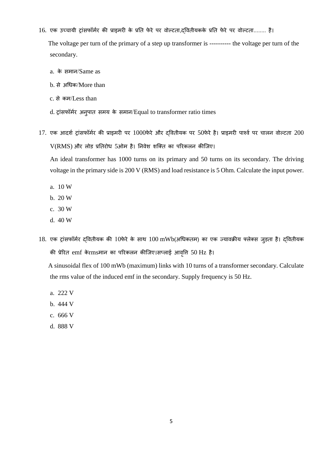16. एक उच्चायी ट्रांसफॉर्मर की प्राइमरी के प्रति फेरे पर वोल्टता,द्वितीयकके प्रति फेरे पर वोल्टता........ है।

 The voltage per turn of the primary of a step up transformer is ---------- the voltage per turn of the secondary.

- a. के समान/Same as
- b. से अचतक/More than
- c. से कम/Less than
- d. ट्रांसफॉर्मर अनुपात समय के समान/Equal to transformer ratio times
- 17. एक आदर्श ट्रांसफॉर्मर की प्राइमरी पर 1000फेरे और दवितीयक पर 50फेरे है। प्राइमरी पार्श्व पर चालन वोल्टता 200  $V(RMS)$  और लोड प्रतिरोध 5ओम है। निवेश शक्ति का परिकलन कीजिए।

An ideal transformer has 1000 turns on its primary and 50 turns on its secondary. The driving voltage in the primary side is 200 V (RMS) and load resistance is 5 Ohm. Calculate the input power.

- a. 10 W
- b. 20 W
- c. 30 W
- d. 40 W
- 18. एक ट्रांसफॉर्मर दवितीयक की 10फेरे के साथ 100 mWb(अधिकतम) का एक ज्यावक्रीय फ्लेक्स जुड़ता है। दवितीयक की प्रेरित emf केrmsमान का परिकलन कीजिए।सप्लाई आवृत्ति 50 Hz है।

 A sinusoidal flex of 100 mWb (maximum) links with 10 turns of a transformer secondary. Calculate the rms value of the induced emf in the secondary. Supply frequency is 50 Hz.

- a. 222 V
- b. 444 V
- c. 666 V
- d. 888 V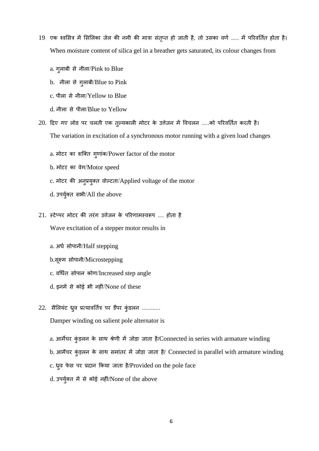- 19 एक श्वसित्र में सिलिका जेल की नमी की मात्रा संतृप्त हो जाती है, तो उसका वर्ण ..... में परिवर्तित होता है। When moisture content of silica gel in a breather gets saturated, its colour changes from
	- a. गुलाबी से नीला/Pink to Blue
	- b. नीला से गुलाबी/Blue to Pink
	- c. पीला से नीला/Yellow to Blue
	- d. नीला से पीला/Blue to Yellow
- 20. दिए गए लोड पर चलती एक तुल्यकाली मोटर के उत्तेजन में विचलन .....को परिवर्तित करती है। The variation in excitation of a synchronous motor running with a given load changes
	- a. मोटर का शक्ति ग्णांक/Power factor of the motor
	- b. मोटर का वेग/Motor speed
	- c. मोटर की अनुप्रयुक्त वोल्टता/Applied voltage of the motor
	- d. उपर्युक्त सभी/All the above
- 21. स्टेप्पर मोटर की तरंग उत्तेजन के परिणामस्वरूप .... होता है Wave excitation of a stepper motor results in
	- a. अर्ध सोपानी/Half stepping
	- b.सूक्ष्म सोपाधी/Microstepping
	- c. वर्धित सोपान कोण/Increased step angle
	- d. इनमें से कोई भी नहीं/None of these
- 22. सैलियंट ध्र्व प्रत्यावर्तित्र पर डैंपर कुंड़लन ............

Damper winding on salient pole alternator is

- a. आर्मेचर कुंड़लन के साथ श्रेणी में जोड़ा जाता है/Connected in series with armature winding
- b. आर्मेचर कुंड़लन के साथ समांतर में जोड़ा जाता है/ Connected in parallel with armature winding
- c. ध्रुव फेस पर प्रदान किया जाता है/Provided on the pole face
- d. उपर्युक्त में से कोई नहीं/None of the above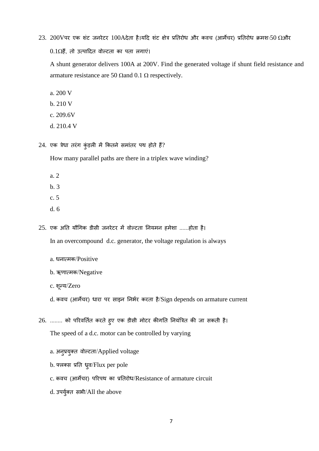23. 200Vपर एक शंट जनरेटर 100Aदेता है।यदि शंट क्षेत्र प्रतिरोध और कवच (आर्मेचर) प्रतिरोध क्रमशः50  $\Omega$ और

 $0.1\Omega$ हैं, तो उत्पादित वोल्टता का पता लगाएं।

A shunt generator delivers 100A at 200V. Find the generated voltage if shunt field resistance and armature resistance are 50  $\Omega$  and 0.1  $\Omega$  respectively.

- a. 200 V
- b. 210 V
- c. 209.6V
- d. 210.4 V
- $24.$  एक त्रेधा तरंग कुंड़ली में कितने समांतर पथ होते हैं?

How many parallel paths are there in a triplex wave winding?

- a. 2
- $h<sub>3</sub>$
- c. 5
- d. 6

 $25.$  एक अति यौगिक डीसी जनरेटर में वोल्टता नियमन हमेशा ......होता है।

In an overcompound d.c. generator, the voltage regulation is always

- a. धनात्मक/Positive
- b. ऋणात्मक/Negative
- c. िूटय/Zero

d. कवच (आर्मेचर) धारा पर साइन निर्भर करता है/Sign depends on armature current

- 26. ........ को परिवर्तित करते हुए एक डीसी मोटर कीगति नियंत्रित की जा सकती है। The speed of a d.c. motor can be controlled by varying
	- a. अनुप्रयुक्त वोल्टता/Applied voltage
	- b. फ्लक्स प्रति ध्र्व/Flux per pole
	- c. कवच (आर्मेचर) परिपथ का प्रतिरोध/Resistance of armature circuit
	- d. उपर्युक्त सभी/All the above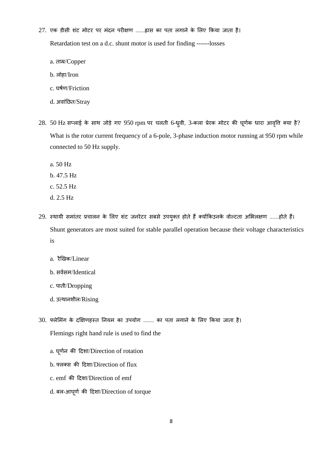- 27. एक डीसी शंट मोटर पर मंदन परीक्षण ......ह्रास का पता लगाने के लिए किया जाता है। Retardation test on a d.c. shunt motor is used for finding ------losses
	- a. ताम्र/Copper
	- b. लोहा/Iron
	- c. घर्णर्/Friction
	- d. अवांछित/Stray
- $28.50$  Hz सप्लाई के साथ जोड़े गए  $950$  rpm पर चलती 6-ध्र्वी, 3-कला प्रेरक मोटर की घूर्णक धारा आवृत्ति क्या है? What is the rotor current frequency of a 6-pole, 3-phase induction motor running at 950 rpm while connected to 50 Hz supply.
	- a. 50 Hz
	- b. 47.5 Hz
	- c. 52.5 Hz
	- d. 2.5 Hz
- 29. स्थायी समांतर प्रचालन के लिए शंट जनरेटर सबसे उपयुक्त होते हैं क्योंकिउनके वोल्टता अभिलक्षण ......होते हैं। Shunt generators are most suited for stable parallel operation because their voltage characteristics is
	- a. रैखिक/Linear
	- b. सर्वसम/Identical
	- c. पाती/Dropping
	- d. उत्थानशील/Rising
- 30. फ्लेमिंग के दक्षिणहस्त नियम का उपयोग ....... का पता लगाने के लिए किया जाता है। Flemings right hand rule is used to find the
	- a. घूर्णन की दिशा/Direction of rotation
	- b. फ्िक्स की हदिा/Direction of flux
	- c. emf की हदिा/Direction of emf
	- d. बल-आघूर्ण की दिशा/Direction of torque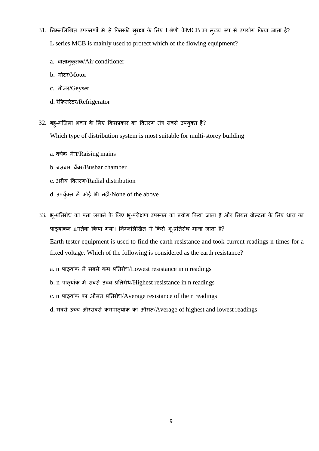- $31.$  निम्नलिखित उपकरणों में से किसकी सुरक्षा के लिए Lश्रेणी के $MCB$  का मुख्य रूप से उपयोग किया जाता है? L series MCB is mainly used to protect which of the flowing equipment?
	- a. वातानुकूलक/Air conditioner
	- b. मोटत/Motor
	- c. गीजत/Geyser
	- d. तेकिजतेटत/Refrigerator
- 32. बह्-मंज़िला भवन के लिए किसप्रकार का वितरण तंत्र सबसे उपयुक्त है? Which type of distribution system is most suitable for multi-storey building
	- a. वर्धक मेन/Raising mains
	- b. बसबार चैंबर/Busbar chamber
	- c. अरीय वितरण/Radial distribution
	- d. उपर्युक्त में कोई भी नहीं/None of the above
- 33. भू-प्रतिरोध का पता लगाने के लिए भू-परीक्षण उपस्कर का प्रयोग किया जाता है और नियत वोल्टता के लिए धारा का पाठ्यांकन nमर्तबा किया गया। निम्नलिखित में किसे भू-प्रतिरोध माना जाता है?

Earth tester equipment is used to find the earth resistance and took current readings n times for a fixed voltage. Which of the following is considered as the earth resistance?

- a. n पाठ्यांक में सबसे कम प्रतिरोध/Lowest resistance in n readings
- b. n पाठ्यांक में सबसे उच्च प्रतिरोध/Highest resistance in n readings
- c. n पाठ्यांक का औसत प्रतिरोध/Average resistance of the n readings
- d. सबसे उच्च औरसबसे कमपाठ्यांक का औसत/Average of highest and lowest readings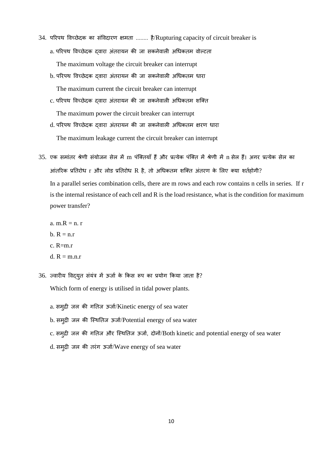- 34. परिपथ विच्छेदक का संविदारण क्षमता ........ है/Rupturing capacity of circuit breaker is a. परिपथ विच्छेदक दवारा अंतरायन की जा सकनेवाली अधिकतम वोल्टता The maximum voltage the circuit breaker can interrupt
	- b. परिपथ विच्छेदक दवारा अंतरायन की जा सकनेवाली अधिकतम धारा The maximum current the circuit breaker can interrupt
	- c. परिपथ विच्छेदक दवारा अंतरायन की जा सकनेवाली अधिकतम शक्ति The maximum power the circuit breaker can interrupt
	- d. परिपथ विच्छेदक दवारा अंतरायन की जा सकनेवाली अधिकतम क्षरण धारा The maximum leakage current the circuit breaker can interrupt
- 35. एक समांतर श्रेणी संयोजन सेल में m पंक्तियाँ हैं और प्रत्येक पंक्ति में श्रेणी में n सेल हैं। अगर प्रत्येक सेल का आंतरिक प्रतिरोध r और लोड प्रतिरोध R है, तो अधिकतम शक्ति अंतरण के लिए क्या शर्तहोगी? In a parallel series combination cells, there are m rows and each row contains n cells in series. If r is the internal resistance of each cell and R is the load resistance, what is the condition for maximum power transfer?
	- a. m. $R = n$ . r
	- $b. R = n.r$
	- $c$ . R=m  $r$
	- d.  $R = m.n.r$
- $36.$  ज्वारीय विद्युत संयंत्र में ऊर्जा के किस रूप का प्रयोग किया जाता है?

Which form of energy is utilised in tidal power plants.

- a. समुद्री जल की गतिज ऊर्जा/Kinetic energy of sea water
- b. समुद्री जल की स्थितिज ऊर्जा/Potential energy of sea water
- c. समुद्री जल की गतिज और स्थितिज ऊर्जा, दोनों/Both kinetic and potential energy of sea water
- d. सम् द्री जल की तरंग ऊर्जा/Wave energy of sea water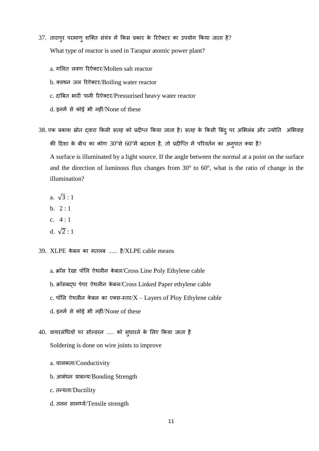- $37.$  तारापुर परमाणु शक्ति संयंत्र में किस प्रकार के रिऐक्टर का उपयोग किया जाता है? What type of reactor is used in Tarapur atomic power plant?
	- a. गलित लवण रिऐक्टर/Molten salt reactor
	- b. क्वथन जल रिऐक्टर/Boiling water reactor
	- c. दाबित भारी पानी रिऐक्टर/Pressurised heavy water reactor
	- d. इनमें से कोई भी नहीं/None of these
- 38. एक प्रकाश स्रोत द्वारा किसी सतह को प्रदीप्त किया जाता है। सतह के किसी बिंदु पर अभिलंब और ज्योति अभिवाह की दिशा के बीच का कोण 30°से 60°में बदलता है, तो प्रदीप्ति में परिवर्तन का अनुपात क्या है?

A surface is illuminated by a light source. If the angle between the normal at a point on the surface and the direction of luminous flux changes from  $30^{\circ}$  to  $60^{\circ}$ , what is the ratio of change in the illumination?

- a.  $\sqrt{3} \cdot 1$
- b.  $2:1$
- c. 4 : 1
- d.  $\sqrt{2} : 1$

39. XLPE केबल का मतलब ...... है/XLPE cable means

- a. क्रॉस रेखा पॉलि ऐथलीन केबल/Cross Line Poly Ethylene cable
- b. क्रॉसबद्ध पेपर ऐथलीन केबल/Cross Linked Paper ethylene cable
- c. पॉलि ऐथलीन केबल का एक्स-स्तर/ $X$  Layers of Ploy Ethylene cable
- d. इनमें से कोई भी नहीं/None of these
- 40. वायरसंधियों पर सोल्डरन ..... को स्धारने के लिए किया जाता है Soldering is done on wire joints to improve
	- a. चालकता/Conductivity
	- b. आबंधन प्राबल्य/Bonding Strength
	- c. तटयता/Ductility
	- d. तनन सामर्थ्य/Tensile strength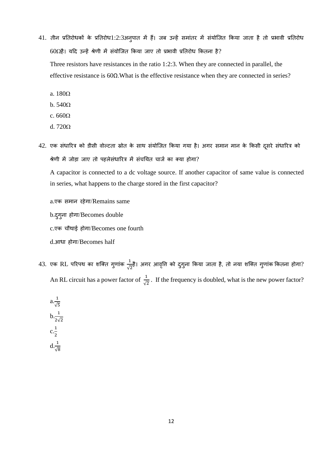- 41. तीन प्रतिरोधकों के प्रतिरोध1:2:3अनुपात में हैं। जब उन्हें समांतर में संयोजित किया जाता है तो प्रभावी प्रतिरोध  $60\Omega$ है। यदि उन्हें श्रेणी में संयोजित किया जाए तो प्रभावी प्रतिरोध कितना है? Three resistors have resistances in the ratio 1:2:3. When they are connected in parallel, the effective resistance is 60Ω.What is the effective resistance when they are connected in series?
	- a. 180
	- $b. 540\Omega$
	- c.  $660\Omega$
	- d.  $720\Omega$
- 42. एक संधारित्र को डीसी वोल्टता स्रोत के साथ संयोजित किया गया है। अगर समान मान के किसी दूसरे संधारित्र को श्रेणी में जोड़ा जाए तो पहलेसंधारित्र में संचयित चार्ज का क्या होगा?

A capacitor is connected to a dc voltage source. If another capacitor of same value is connected in series, what happens to the charge stored in the first capacitor?

a.एक समान रहेगा/Remains same

b.दुगुना होगा/Becomes double

c.एक चौथाई होगा/Becomes one fourth

d.आधा होगा/Becomes half

 $43.$  एक  $\text{RL}$  परिपथ का शक्ति गुणांक  $\frac{1}{\sqrt{2}}$  $\frac{1}{\sqrt{2}}$ है। अगर आवृत्ति को दुगुना किया जाता है, तो नया शक्ति गुणांक कितना होगा? An RL circuit has a power factor of  $\frac{1}{\sqrt{2}}$ . If the frequency is doubled, what is the new power factor?

$$
a.\frac{1}{\sqrt{5}}
$$
  

$$
b.\frac{1}{2\sqrt{2}}
$$
  

$$
c.\frac{1}{2}
$$
  

$$
d.\frac{1}{\sqrt{8}}
$$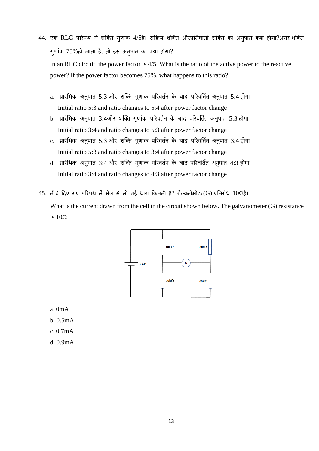- 44. एक RLC परिपथ में शक्ति गुणांक 4/5है। सक्रिय शक्ति औरप्रतिघाती शक्ति का अनुपात क्या होगा?अगर शक्ति गुणांक 75%हो जाता है, तो इस अनुपात का क्या होगा? In an RLC circuit, the power factor is 4/5. What is the ratio of the active power to the reactive power? If the power factor becomes 75%, what happens to this ratio?
	- a. प्रारंभिक अनुपात 5:3 और शक्ति गुणांक पररवततन के बाद पररवभततत अनुपात 5:4 होगा Initial ratio 5:3 and ratio changes to 5:4 after power factor change
	- b. प्रारंभिक अनुपात 3:4और शक्ति गुणांक पररवततन के बाद पररवभततत अनुपात 5:3 होगा Initial ratio 3:4 and ratio changes to 5:3 after power factor change
	- c. प्रारंभिक अनुपात 5:3 और शक्ति गुणांक पररवततन के बाद पररवभततत अनुपात 3:4 होगा Initial ratio 5:3 and ratio changes to 3:4 after power factor change
	- d. प्रारंभिक अनुपात 3:4 और शक्ति गुणांक पररवततन के बाद पररवभततत अनुपात 4:3 होगा Initial ratio 3:4 and ratio changes to 4:3 after power factor change
- $45.$  नीचे दिए गए परिपथ में सेल से ली गई धारा कितनी है? गैल्वनोमीटर(G) प्रतिरोध  $10\Omega$ है।

What is the current drawn from the cell in the circuit shown below. The galvanometer (G) resistance is  $10\Omega$ .



a. 0mA

- b. 0.5mA
- c. 0.7mA
- d. 0.9mA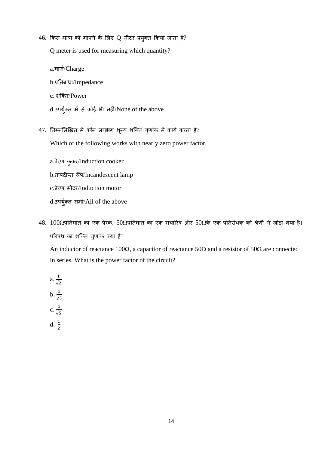$46.$  किस मात्रा को मापने के लिए Q मीटर प्रयुक्त किया जाता है?

Q meter is used for measuring which quantity?

a.चार्ज/Charge

b.प्रतितबाता/Impedance

- c. िन्क्त/Power
- $d.$ उपर्युक्त में से कोई भी नहीं/None of the above
- $47.$  निम्नलिखित में कौन लगभग शून्य शक्ति गुणांक में कार्य करता है?

Which of the following works with nearly zero power factor

a.प्रेरण कुकर/Induction cooker b.तापदीप्त िैंप/Incandescent lamp c.प्रेरण मोटर/Induction motor d.उपर्युक्त सभी/All of the above

 $48. 100$ Ωप्रतिघात का एक प्रेरक, 50Ωप्रतिघात का एक संधारित्र और 50Ωके एक प्रतिरोधक को श्रेणी में जोड़ा गया है। परिपथ का शक्ति गुणांक क्या है? An inductor of reactance 100 $\Omega$ , a capacitor of reactance 50 $\Omega$  and a resistor of 50 $\Omega$  are connected in series. What is the power factor of the circuit?

a. 
$$
\frac{1}{\sqrt{2}}
$$
\nb.  $\frac{1}{\sqrt{3}}$ \nc.  $\frac{1}{\sqrt{5}}$ \nd.  $\frac{1}{2}$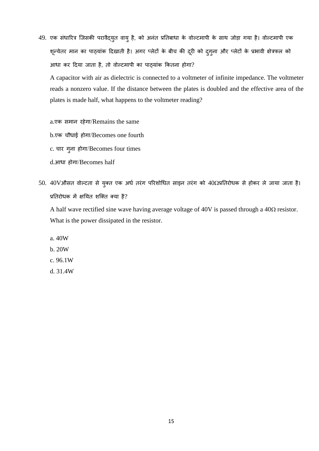49. एक संधारित्र जिसकी परावैद्युत वायु है, को अनंत प्रतिबाधा के वोल्टमापी के साथ जोड़ा गया है। वोल्टमापी एक शून्येतर मान का पाठ्यांक दिखाती है। अगर प्लेटों के बीच की दूरी को दुगुना और प्लेटों के प्रभावी क्षेत्रफल को आधा कर दिया जाता है, तो वोल्टमापी का पाठ्यांक कितना होगा?

A capacitor with air as dielectric is connected to a voltmeter of infinite impedance. The voltmeter reads a nonzero value. If the distance between the plates is doubled and the effective area of the plates is made half, what happens to the voltmeter reading?

a.एक समान रहेगा/Remains the same

b.एक चौधाई होगा/Becomes one fourth

c. चार गुना होगा/Becomes four times

d.आधा होगा/Becomes half

50. 40Vऔसत वोल्टता से युक्त एक अर्ध तरंग परिशोधित साइन तरंग को 402प्रतिरोधक से होकर ले जाया जाता है। प्रतिरोधक में क्षयित शक्ति क्या है?

A half wave rectified sine wave having average voltage of 40V is passed through a  $40\Omega$  resistor. What is the power dissipated in the resistor.

a. 40W

- b. 20W
- c. 96.1W
- d. 31.4W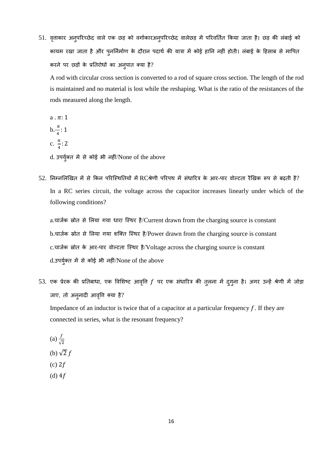51. वृत्ताकार अन्परिच्छेद वाले एक छड़ को वर्गाकारअन्परिच्छेद वालेछड़ में परिवर्तित किया जाता है। छड़ की लंबाई को कायम रखा जाता है और प्*नर्निर्माण के दौरान पदार्थ की यात्रा में कोई* हानि नहीं होती। लंबाई के हिसाब से मापित करने पर छड़ों के प्रतिरोधों का अनुपात क्या है?

A rod with circular cross section is converted to a rod of square cross section. The length of the rod is maintained and no material is lost while the reshaping. What is the ratio of the resistances of the rods measured along the length.

 $a \cdot \pi : 1$  $b.\frac{\pi}{4}$  $\frac{n}{4}$ : 1 c.  $\frac{\pi}{4}$  $\frac{n}{4}$ : 2

d. उपर्युक्त में से कोई भी नहीं/None of the above

52. निम्नलिखित में से किन परिस्थितियों में RCश्रेणी परिपथ में संधारित्र के आर-पार वोल्टता रैखिक रूप से बढ़ती है? In a RC series circuit, the voltage across the capacitor increases linearly under which of the following conditions?

a.चार्जक स्रोत से लिया गया धारा स्थिर है/Current drawn from the charging source is constant b.चार्जक स्रोत से लिया गया शक्ति स्थिर है/Power drawn from the charging source is constant c.चार्जक स्रोत के आर-पार वोल्टता स्थिर है/Voltage across the charging source is constant d.उपर्युक्त में से कोई भी नहीं/None of the above

53. एक प्रेरक की प्रतिबाधा, एक विशिष्ट आवृति  $f$  पर एक संधारित्र की तुलना में दुगुना है। अगर उन्हें श्रेणी में जोड़ा जाए, तो अनुनादी आवृत्ति क्या है?

Impedance of an inductor is twice that of a capacitor at a particular frequency  $f$ . If they are connected in series, what is the resonant frequency?

(a) 
$$
\frac{f}{\sqrt{2}}
$$
  
\n(b)  $\sqrt{2} f$   
\n(c)  $2f$   
\n(d)  $4f$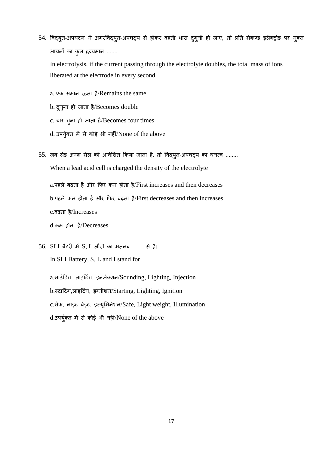54. विद्युत-अपघटन में अगरविद्युत-अपघट्य से होकर बहती धारा दुग्नी हो जाए, तो प्रति सेकण्ड इलैक्ट्रोड पर मुक्त आयनों का कुल द्रव्यमान .......

In electrolysis, if the current passing through the electrolyte doubles, the total mass of ions liberated at the electrode in every second

- a. एक समान रहता है/Remains the same
- b. दुगुना हो जाता है/Becomes double
- c. चार गुना हो जाता है/Becomes four times
- d. उपर्युक्त में से कोई भी नहीं/None of the above
- 55. जब लेड अम्ल सेल को आवेशित किया जाता है, तो विद्युत-अपघट्य का घनत्व ........ When a lead acid cell is charged the density of the electrolyte a.पहले बढ़ता है और फिर कम होता है/First increases and then decreases b.पहले कम होता है और फिर बढ़ता है/First decreases and then increases c.बढ़ता ै /Increases d.कम होता है/Decreases
- $56.$  SLI बैटरी में S, L औरI का मतलब ....... से है। In SLI Battery, S, L and I stand for a.साउंडिंग, लाइटिंग, इनजेक्शन/Sounding, Lighting, Injection b.स्टार्टिंग,लाइटिंग, इग्नीशन/Starting, Lighting, Ignition c.सेफ, लाइट वेइट, इल्यूमिनेशन/Safe, Light weight, Illumination d.उपर्युक्त में से कोई भी नहीं/None of the above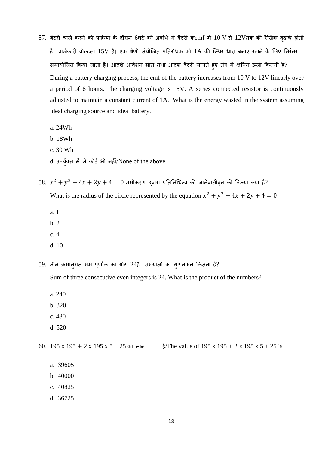- 57. बैटरी चार्ज करने की प्रक्रिया के दौरान 6घंटे की अवधि में बैटरी के $emf$  में 10 V से 12Vतक की रैखिक वृद्धि होती है। चार्जकारी वोल्टता 15V है। एक श्रेणी संयोजित प्रतिरोधक को 1A की स्थिर धारा बनाए रखने के लिए निरंतर समायोजित किया जाता है। आदर्श आवेशन स्रोत तथा आदर्श बैटरी मानते हुए तंत्र में क्षयित ऊर्जा कितनी है? During a battery charging process, the emf of the battery increases from 10 V to 12V linearly over a period of 6 hours. The charging voltage is 15V. A series connected resistor is continuously adjusted to maintain a constant current of 1A. What is the energy wasted in the system assuming ideal charging source and ideal battery.
	- a. 24Wh
	- b. 18Wh
	- c. 30 Wh
	- d. उपर्युक्त में से कोई भी नहीं/None of the above
- $58.$   $x^2 + y^2 + 4x + 2y + 4 = 0$  समीकरण द्वारा प्रतिनिधित्व की जानेवालीवृत्त की त्रिज्या क्या है? What is the radius of the circle represented by the equation  $x^2 + y^2 + 4x + 2y + 4 = 0$ 
	- a. 1
	- b. 2
	- c. 4
	- d. 10
- 59. तीन क्रमानुगत सम पूर्णाक का योग 24है। संख्याओं का गुणनफल कितना है?

Sum of three consecutive even integers is 24. What is the product of the numbers?

- a. 240
- b. 320
- c. 480
- d. 520

60. 195 x 195 + 2 x 195 x 5 + 25 का माध ........ ै /The value of 195 x 195 *+* 2 x 195 x 5 + 25 is

- a. 39605
- b. 40000
- c. 40825
- d. 36725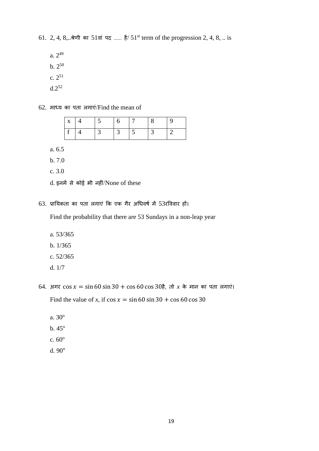61. 2, 4, 8,  $\therefore$  श्रेणी का 51वां पद ..... है/ 51<sup>st</sup> term of the progression 2, 4, 8, .. is

- $a. 2^{49}$  $b. 2^{50}$  $c. 2^{51}$
- $d.2^{52}$

62. माध्य का पता लगाएं/Find the mean of

| $x \mid 4$ | $\overline{5}$  | h | $\vert 7 \vert$ |  |
|------------|-----------------|---|-----------------|--|
|            | $\vert 3 \vert$ |   | $\frac{1}{5}$   |  |

a. 6.5

b. 7.0

c. 3.0

63. प्रायिकता का पता लगाएं कि एक गैर अधिवर्ष में 53रविवार हों।

Find the probability that there are 53 Sundays in a non-leap year

- a. 53/365
- b. 1/365
- c. 52/365
- d. 1/7
- 64. अगर  $\cos x = \sin 60 \sin 30 + \cos 60 \cos 30$   $\frac{2}{3}$ , तो *x* के मान का पता लगाएं। Find the value of *x*, if  $\cos x = \sin 60 \sin 30 + \cos 60 \cos 30$ 
	- a. 30<sup>o</sup>
	- $b.45^\circ$
	- c.  $60^{\circ}$
	- d.  $90^\circ$

 $d.$  इनमें से कोई भी नहीं/None of these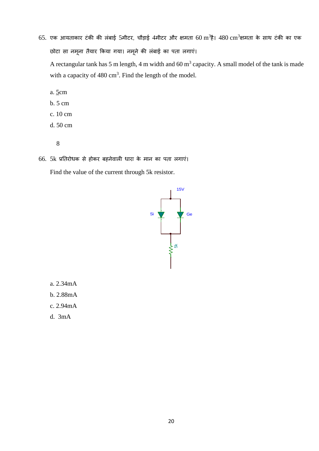$65.$  एक आयताकार टंकी की लंबाई 5मीटर, चौड़ाई 4मीटर और क्षमता  $60\ \mathrm{m}^{3}$ है।  $480\ \mathrm{cm}^{3}$ क्षमता के साथ टंकी का एक छोटा सा नमूना तैयार किया गया। नमूने की लंबाई का पता लगाएं।

A rectangular tank has 5 m length, 4 m width and 60  $m<sup>3</sup>$  capacity. A small model of the tank is made with a capacity of  $480 \text{ cm}^3$ . Find the length of the model.

- a. 5cm
- b. 5 cm
- c. 10 cm
- d. 50 cm
	- 8
- 66. 5k प्रतिरोधक से होकर बहनेवाली धारा के मान का पता लगाएं। Find the value of the current through 5k resistor.



- a. 2.34mA
- b. 2.88mA
- c. 2.94mA
- d. 3mA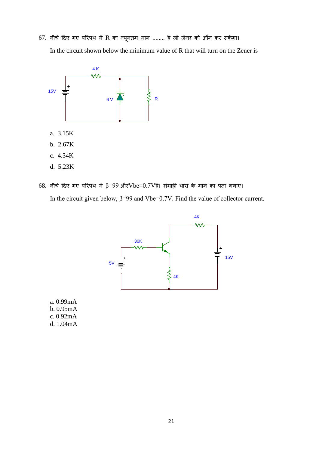$67.$  नीचे दिए गए परिपथ में R का न्यूनतम मान ........ है जो ज़ेनर को ऑन कर सकेगा। In the circuit shown below the minimum value of R that will turn on the Zener is



 $68.$  नीचे दिए गए परिपथ में β=99 और $Vbe=0.7V$ है। संग्राही धारा के मान का पता लगाए। In the circuit given below,  $\beta$ =99 and Vbe=0.7V. Find the value of collector current.



a. 0.99mA b. 0.95mA c. 0.92mA d. 1.04mA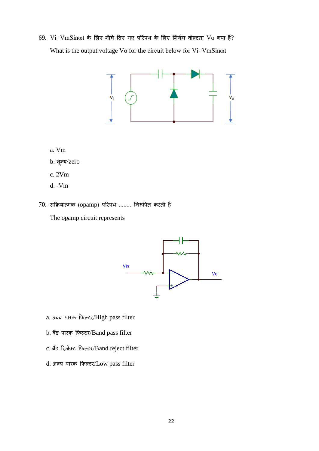$69.$   $Vi=VmSin\omega t$  के लिए नीचे दिए गए परिपथ के लिए निर्गम वोल्टता  $Vo$  क्या है? What is the output voltage Vo for the circuit below for Vi=VmSinot



- a. Vm
- b. शून्य/zero
- c. 2Vm
- d. -Vm
- 70. संक्रियात्मक (opamp) परिपथ ........ निरूपित करती है

The opamp circuit represents



- a. उच्च पारक फिल्टर/High pass filter
- b. बैंर् पातक कफल्टत/Band pass filter
- c. बैंर् रतजेक्ट कफल्टत/Band reject filter
- d. अल्प पातक कफल्टत/Low pass filter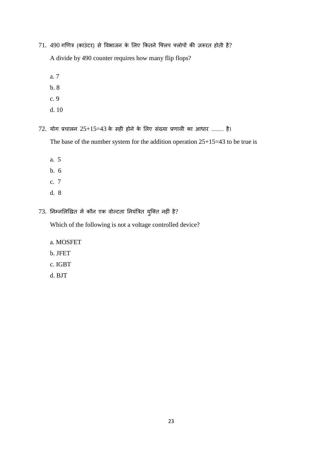$71.490$  गणित्र (काउंटर) से विभाजन के लिए कितने फ्लिप फ्लोपों की ज़रूरत होती है?

A divide by 490 counter requires how many flip flops?

- a. 7
- b. 8
- c. 9
- d. 10
- $72.$  योग प्रचालन  $25+15=43$  के सही होने के लिए संख्या प्रणाली का आधार ........ है।

The base of the number system for the addition operation 25+15=43 to be true is

- a. 5
- b. 6
- c. 7
- d. 8
- $73.$  निम्नलिखित में कौन एक वोल्टता नियंत्रित युक्ति नहीं है?

Which of the following is not a voltage controlled device?

- a. MOSFET
- b. JFET
- c. IGBT
- d. BJT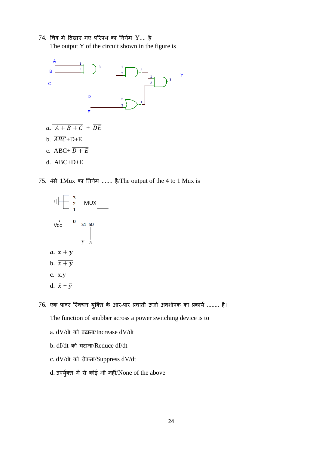$74.$  चित्र में दिखाए गए परिपथ का निर्गम  $Y....$  है The output Y of the circuit shown in the figure is



- $a. \overline{A+B+C} + \overline{DE}$
- b.  $\overline{ABC}$ +D+E
- c. ABC+  $\overline{D+E}$
- d. ABC+D+E

75. 4से 1Mux का निर्गम ....... है/The output of the 4 to 1 Mux is



- c. x.y
- d.  $\bar{x} + \bar{y}$
- 76. एक पावर स्विचन युक्ति के आर-पार प्रघाती ऊर्जा अवशोषक का प्रकार्य ........ है।
	- The function of snubber across a power switching device is to
	- a. dV/dt को बढाना/Increase dV/dt
	- b. dI/dt को घटाना/Reduce dI/dt
	- c. dV/dt को तोकधा/Suppress dV/dt
	- d. उपर्युक्त में से कोई भी नहीं/None of the above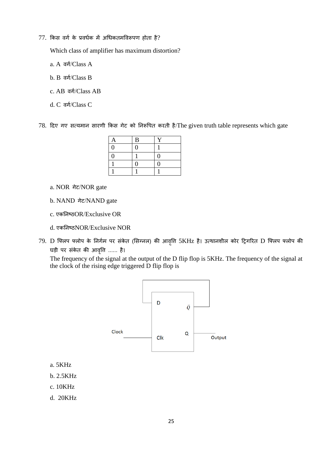## $77.$  किस वर्ग के प्रवर्धक में अधिकतमविरूपण होता है?

Which class of amplifier has maximum distortion?

- a. A वर्ग/Class A
- b. B वर्ग/Class B
- c. AB वर्ग/Class AB
- d. C वर्ग/Class C

78. दिए गए सत्यमान सारणी किस गेट को निरूपित करती है/The given truth table represents which gate

| A | $\, {\bf B}$ | $\checkmark$ |
|---|--------------|--------------|
| 0 | $\theta$     |              |
| 0 |              | 0            |
|   | 9            | O)           |
|   |              |              |

- a. NOR गेट/NOR gate
- b. NAND गेट/NAND gate
- c. एकतिधष्ठOR/Exclusive OR
- d. एकतिधष्ठNOR/Exclusive NOR
- 79. D फ्लिप फ्लोप के निर्गम पर संकेत (सिग्नल) की आवृति 5KHz है। उत्थानशील कोर ट्रिगरित D फ्लिप फ्लोप की घड़ी पर संकेत की आवृति ...... है।

The frequency of the signal at the output of the D flip flop is 5KHz. The frequency of the signal at the clock of the rising edge triggered D flip flop is



- a. 5KHz
- b. 2.5KHz
- c. 10KHz
- d. 20KHz